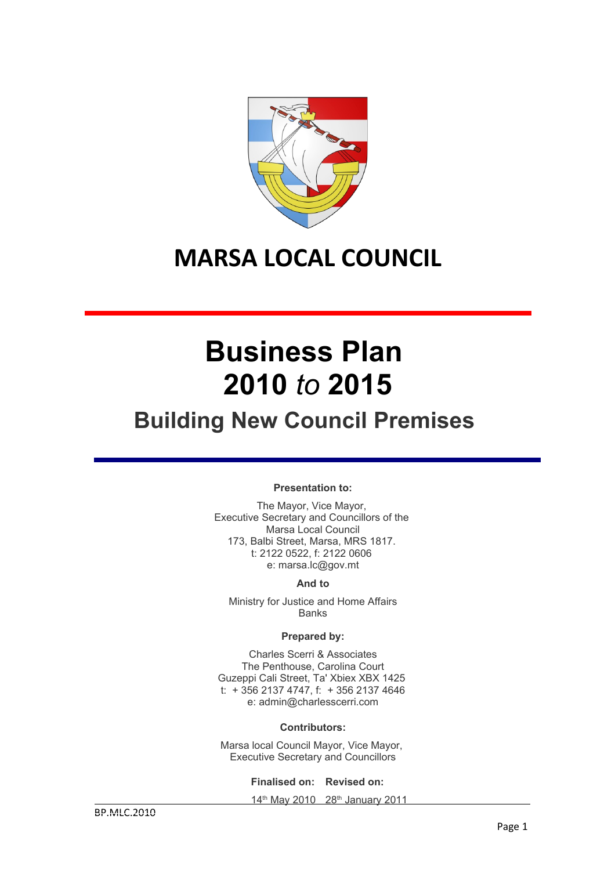

# **MARSA LOCAL COUNCIL**

# **Business Plan 2010** *to* **2015**

# **Building New Council Premises**

### **Presentation to:**

The Mayor, Vice Mayor, Executive Secretary and Councillors of the Marsa Local Council 173, Balbi Street, Marsa, MRS 1817. t: 2122 0522, f: 2122 0606 e: marsa.lc@gov.mt

### **And to**

Ministry for Justice and Home Affairs Banks

### **Prepared by:**

Charles Scerri & Associates The Penthouse, Carolina Court Guzeppi Cali Street, Ta' Xbiex XBX 1425 t: + 356 2137 4747, f: + 356 2137 4646 e: admin@charlesscerri.com

### **Contributors:**

Marsa local Council Mayor, Vice Mayor, Executive Secretary and Councillors

**Finalised on: Revised on:**

14<sup>th</sup> May 2010 28<sup>th</sup> January 2011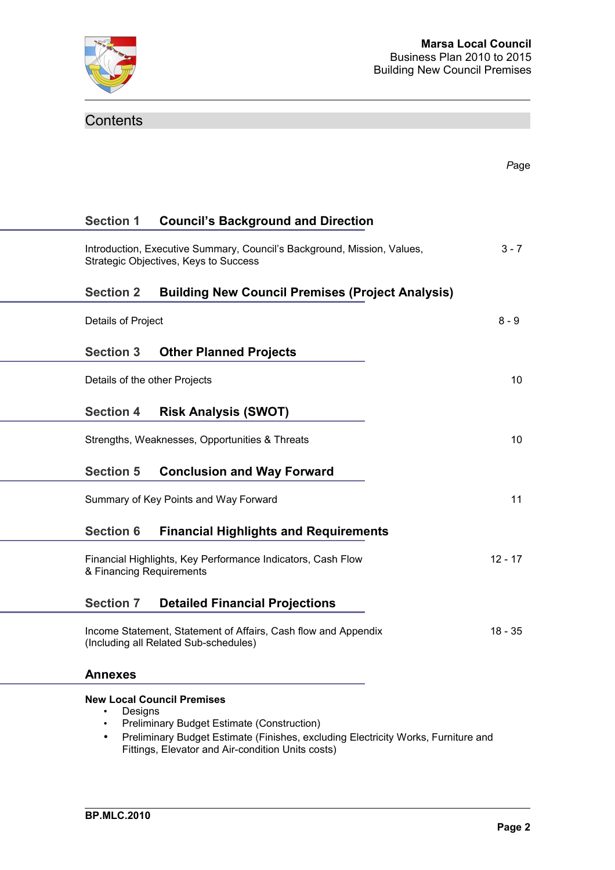

# **Contents**

|                               |                                                                                                                                                                                                                                  | Page      |
|-------------------------------|----------------------------------------------------------------------------------------------------------------------------------------------------------------------------------------------------------------------------------|-----------|
| <b>Section 1</b>              | <b>Council's Background and Direction</b>                                                                                                                                                                                        |           |
|                               | Introduction, Executive Summary, Council's Background, Mission, Values,<br>Strategic Objectives, Keys to Success                                                                                                                 | $3 - 7$   |
| <b>Section 2</b>              | <b>Building New Council Premises (Project Analysis)</b>                                                                                                                                                                          |           |
| Details of Project            |                                                                                                                                                                                                                                  | $8 - 9$   |
| <b>Section 3</b>              | <b>Other Planned Projects</b>                                                                                                                                                                                                    |           |
| Details of the other Projects |                                                                                                                                                                                                                                  | 10        |
| <b>Section 4</b>              | <b>Risk Analysis (SWOT)</b>                                                                                                                                                                                                      |           |
|                               | Strengths, Weaknesses, Opportunities & Threats                                                                                                                                                                                   | 10        |
| <b>Section 5</b>              | <b>Conclusion and Way Forward</b>                                                                                                                                                                                                |           |
|                               | Summary of Key Points and Way Forward                                                                                                                                                                                            | 11        |
| <b>Section 6</b>              | <b>Financial Highlights and Requirements</b>                                                                                                                                                                                     |           |
| & Financing Requirements      | Financial Highlights, Key Performance Indicators, Cash Flow                                                                                                                                                                      | $12 - 17$ |
| <b>Section 7</b>              | <b>Detailed Financial Projections</b>                                                                                                                                                                                            |           |
|                               | Income Statement, Statement of Affairs, Cash flow and Appendix<br>(Including all Related Sub-schedules)                                                                                                                          | 18 - 35   |
| <b>Annexes</b>                |                                                                                                                                                                                                                                  |           |
| Designs<br>$\bullet$<br>٠     | <b>New Local Council Premises</b><br><b>Preliminary Budget Estimate (Construction)</b><br>Preliminary Budget Estimate (Finishes, excluding Electricity Works, Furniture and<br>Fittings, Elevator and Air-condition Units costs) |           |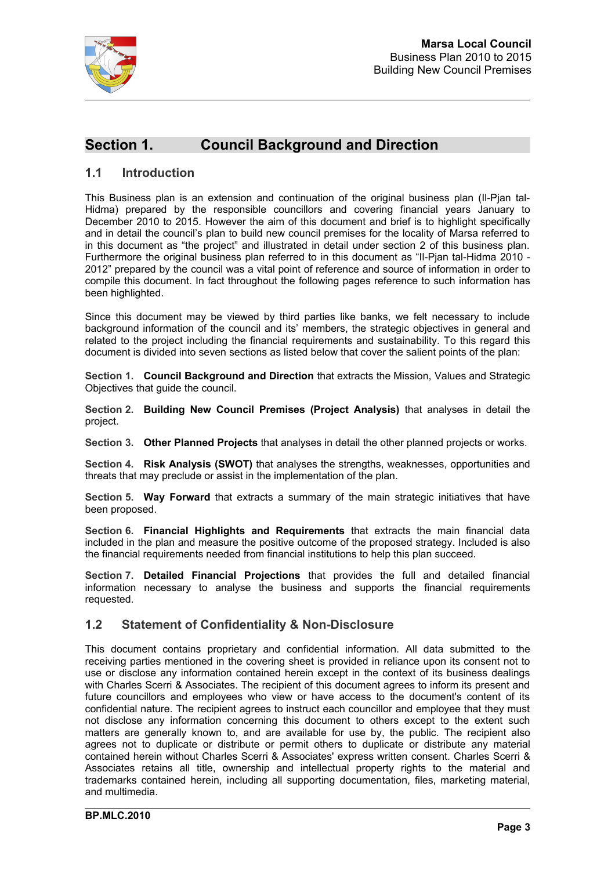

# **Section 1. Council Background and Direction**

### **1.1 Introduction**

This Business plan is an extension and continuation of the original business plan (II-Pian tal-Hidma) prepared by the responsible councillors and covering financial years January to December 2010 to 2015. However the aim of this document and brief is to highlight specifically and in detail the council's plan to build new council premises for the locality of Marsa referred to in this document as "the project" and illustrated in detail under section 2 of this business plan. Furthermore the original business plan referred to in this document as "Il-Pjan tal-Hidma 2010 - 2012" prepared by the council was a vital point of reference and source of information in order to compile this document. In fact throughout the following pages reference to such information has been highlighted.

Since this document may be viewed by third parties like banks, we felt necessary to include background information of the council and its' members, the strategic objectives in general and related to the project including the financial requirements and sustainability. To this regard this document is divided into seven sections as listed below that cover the salient points of the plan:

**Section 1. Council Background and Direction** that extracts the Mission, Values and Strategic Objectives that guide the council.

**Section 2. Building New Council Premises (Project Analysis)** that analyses in detail the project.

**Section 3. Other Planned Projects** that analyses in detail the other planned projects or works.

**Section 4. Risk Analysis (SWOT)** that analyses the strengths, weaknesses, opportunities and threats that may preclude or assist in the implementation of the plan.

**Section 5. Way Forward** that extracts a summary of the main strategic initiatives that have been proposed.

**Section 6. Financial Highlights and Requirements** that extracts the main financial data included in the plan and measure the positive outcome of the proposed strategy. Included is also the financial requirements needed from financial institutions to help this plan succeed.

**Section 7. Detailed Financial Projections** that provides the full and detailed financial information necessary to analyse the business and supports the financial requirements requested.

### **1.2 Statement of Confidentiality & Non-Disclosure**

This document contains proprietary and confidential information. All data submitted to the receiving parties mentioned in the covering sheet is provided in reliance upon its consent not to use or disclose any information contained herein except in the context of its business dealings with Charles Scerri & Associates. The recipient of this document agrees to inform its present and future councillors and employees who view or have access to the document's content of its confidential nature. The recipient agrees to instruct each councillor and employee that they must not disclose any information concerning this document to others except to the extent such matters are generally known to, and are available for use by, the public. The recipient also agrees not to duplicate or distribute or permit others to duplicate or distribute any material contained herein without Charles Scerri & Associates' express written consent. Charles Scerri & Associates retains all title, ownership and intellectual property rights to the material and trademarks contained herein, including all supporting documentation, files, marketing material, and multimedia.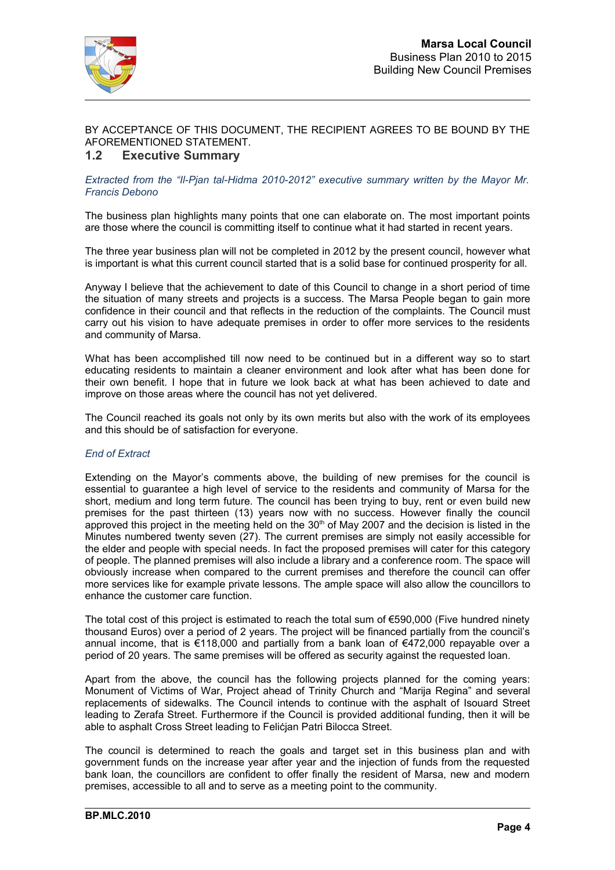

### BY ACCEPTANCE OF THIS DOCUMENT, THE RECIPIENT AGREES TO BE BOUND BY THE AFOREMENTIONED STATEMENT.

### **1.2 Executive Summary**

### *Extracted from the "Il-Pjan tal-Hidma 2010-2012" executive summary written by the Mayor Mr. Francis Debono*

The business plan highlights many points that one can elaborate on. The most important points are those where the council is committing itself to continue what it had started in recent years.

The three year business plan will not be completed in 2012 by the present council, however what is important is what this current council started that is a solid base for continued prosperity for all.

Anyway I believe that the achievement to date of this Council to change in a short period of time the situation of many streets and projects is a success. The Marsa People began to gain more confidence in their council and that reflects in the reduction of the complaints. The Council must carry out his vision to have adequate premises in order to offer more services to the residents and community of Marsa.

What has been accomplished till now need to be continued but in a different way so to start educating residents to maintain a cleaner environment and look after what has been done for their own benefit. I hope that in future we look back at what has been achieved to date and improve on those areas where the council has not yet delivered.

The Council reached its goals not only by its own merits but also with the work of its employees and this should be of satisfaction for everyone.

### *End of Extract*

Extending on the Mayor's comments above, the building of new premises for the council is essential to guarantee a high level of service to the residents and community of Marsa for the short, medium and long term future. The council has been trying to buy, rent or even build new premises for the past thirteen (13) years now with no success. However finally the council approved this project in the meeting held on the  $30<sup>th</sup>$  of May 2007 and the decision is listed in the Minutes numbered twenty seven (27). The current premises are simply not easily accessible for the elder and people with special needs. In fact the proposed premises will cater for this category of people. The planned premises will also include a library and a conference room. The space will obviously increase when compared to the current premises and therefore the council can offer more services like for example private lessons. The ample space will also allow the councillors to enhance the customer care function.

The total cost of this project is estimated to reach the total sum of  $\epsilon$ 590,000 (Five hundred ninety thousand Euros) over a period of 2 years. The project will be financed partially from the council's annual income, that is €118,000 and partially from a bank loan of €472,000 repayable over a period of 20 years. The same premises will be offered as security against the requested loan.

Apart from the above, the council has the following projects planned for the coming years: Monument of Victims of War, Project ahead of Trinity Church and "Marija Regina" and several replacements of sidewalks. The Council intends to continue with the asphalt of Isouard Street leading to Zerafa Street. Furthermore if the Council is provided additional funding, then it will be able to asphalt Cross Street leading to Feliċjan Patri Bilocca Street.

The council is determined to reach the goals and target set in this business plan and with government funds on the increase year after year and the injection of funds from the requested bank loan, the councillors are confident to offer finally the resident of Marsa, new and modern premises, accessible to all and to serve as a meeting point to the community.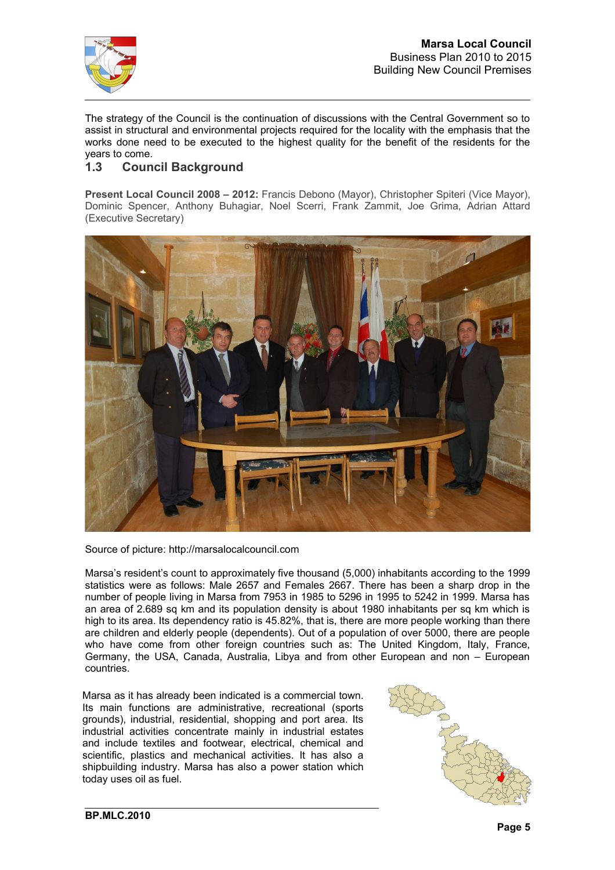

The strategy of the Council is the continuation of discussions with the Central Government so to assist in structural and environmental projects required for the locality with the emphasis that the works done need to be executed to the highest quality for the benefit of the residents for the years to come.

### **1.3 Council Background**

**Present Local Council 2008 – 2012:** Francis Debono (Mayor), Christopher Spiteri (Vice Mayor), Dominic Spencer, Anthony Buhagiar, Noel Scerri, Frank Zammit, Joe Grima, Adrian Attard (Executive Secretary)



Source of picture: http://marsalocalcouncil.com

Marsa's resident's count to approximately five thousand (5,000) inhabitants according to the 1999 statistics were as follows: Male 2657 and Females 2667. There has been a sharp drop in the number of people living in Marsa from 7953 in 1985 to 5296 in 1995 to 5242 in 1999. Marsa has an area of 2.689 sq km and its population density is about 1980 inhabitants per sq km which is high to its area. Its dependency ratio is 45.82%, that is, there are more people working than there are children and elderly people (dependents). Out of a population of over 5000, there are people who have come from other foreign countries such as: The United Kingdom, Italy, France, Germany, the USA, Canada, Australia, Libya and from other European and non – European countries.

Marsa as it has already been indicated is a commercial town. Its main functions are administrative, recreational (sports grounds), industrial, residential, shopping and port area. Its industrial activities concentrate mainly in industrial estates and include textiles and footwear, electrical, chemical and scientific, plastics and mechanical activities. It has also a shipbuilding industry. Marsa has also a power station which today uses oil as fuel.

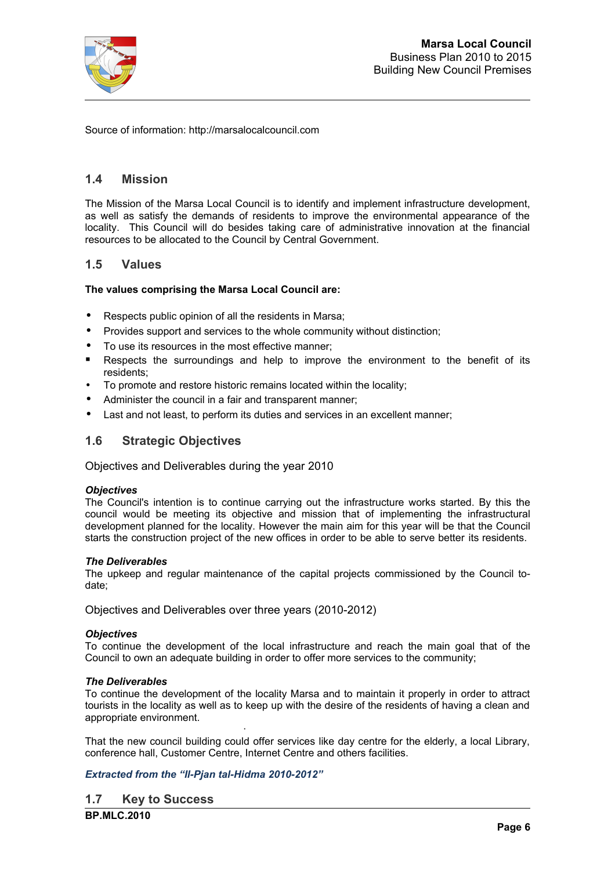

Source of information: http://marsalocalcouncil.com

### **1.4 Mission**

The Mission of the Marsa Local Council is to identify and implement infrastructure development, as well as satisfy the demands of residents to improve the environmental appearance of the locality. This Council will do besides taking care of administrative innovation at the financial resources to be allocated to the Council by Central Government.

### **1.5 Values**

### **The values comprising the Marsa Local Council are:**

- Respects public opinion of all the residents in Marsa;
- Provides support and services to the whole community without distinction;
- To use its resources in the most effective manner;
- Respects the surroundings and help to improve the environment to the benefit of its residents;
- To promote and restore historic remains located within the locality;
- Administer the council in a fair and transparent manner;
- Last and not least, to perform its duties and services in an excellent manner;

### **1.6 Strategic Objectives**

Objectives and Deliverables during the year 2010

### *Objectives*

The Council's intention is to continue carrying out the infrastructure works started. By this the council would be meeting its objective and mission that of implementing the infrastructural development planned for the locality. However the main aim for this year will be that the Council starts the construction project of the new offices in order to be able to serve better its residents.

### *The Deliverables*

The upkeep and regular maintenance of the capital projects commissioned by the Council todate;

Objectives and Deliverables over three years (2010-2012)

### *Objectives*

To continue the development of the local infrastructure and reach the main goal that of the Council to own an adequate building in order to offer more services to the community;

### *The Deliverables*

To continue the development of the locality Marsa and to maintain it properly in order to attract tourists in the locality as well as to keep up with the desire of the residents of having a clean and appropriate environment.

 · That the new council building could offer services like day centre for the elderly, a local Library, conference hall, Customer Centre, Internet Centre and others facilities.

### *Extracted from the "Il-Pjan tal-Hidma 2010-2012"*

**1.7 Key to Success**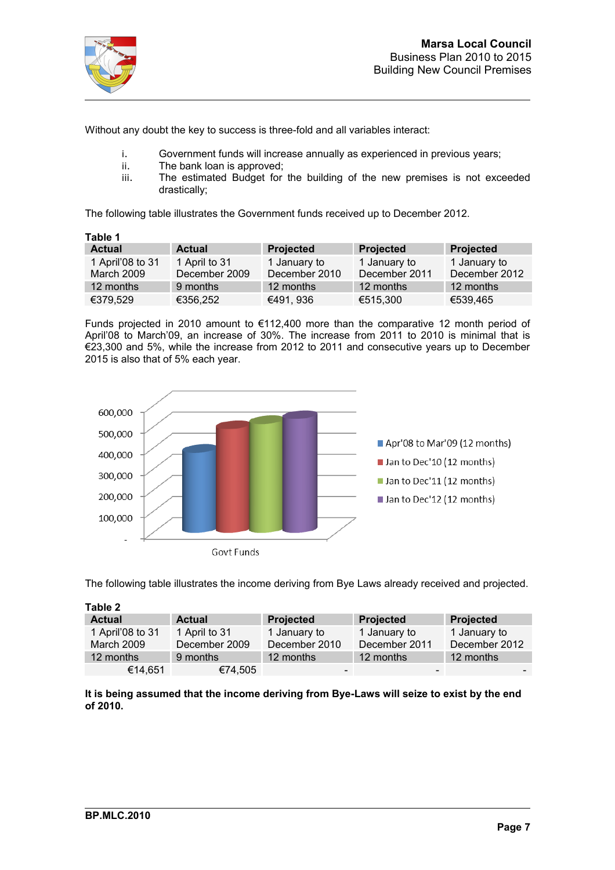

Without any doubt the key to success is three-fold and all variables interact:

- i. Government funds will increase annually as experienced in previous years;<br>ii. The bank loan is approved:
- ii. The bank loan is approved;<br>iii. The estimated Budget for
- The estimated Budget for the building of the new premises is not exceeded drastically;

The following table illustrates the Government funds received up to December 2012.

| Table 1                        |                                |                               |                               |                               |  |  |  |  |  |
|--------------------------------|--------------------------------|-------------------------------|-------------------------------|-------------------------------|--|--|--|--|--|
| <b>Actual</b>                  | <b>Actual</b>                  | Projected                     | <b>Projected</b>              | Projected                     |  |  |  |  |  |
| 1 April'08 to 31<br>March 2009 | 1 April to 31<br>December 2009 | 1 January to<br>December 2010 | 1 January to<br>December 2011 | 1 January to<br>December 2012 |  |  |  |  |  |
| 12 months                      | 9 months                       | 12 months                     | 12 months                     | 12 months                     |  |  |  |  |  |
| €379,529                       | €356,252                       | €491, 936                     | €515,300                      | €539,465                      |  |  |  |  |  |

Funds projected in 2010 amount to €112,400 more than the comparative 12 month period of April'08 to March'09, an increase of 30%. The increase from 2011 to 2010 is minimal that is €23,300 and 5%, while the increase from 2012 to 2011 and consecutive years up to December 2015 is also that of 5% each year.



The following table illustrates the income deriving from Bye Laws already received and projected.

| Table 2          |               |                  |               |               |
|------------------|---------------|------------------|---------------|---------------|
| <b>Actual</b>    | <b>Actual</b> | <b>Projected</b> | Projected     | Projected     |
| 1 April'08 to 31 | 1 April to 31 | 1 January to     | 1 January to  | 1 January to  |
| March 2009       | December 2009 | December 2010    | December 2011 | December 2012 |
| 12 months        | 9 months      | 12 months        | 12 months     | 12 months     |
| €14,651          | €74,505       | -                |               |               |

**It is being assumed that the income deriving from Bye-Laws will seize to exist by the end of 2010.**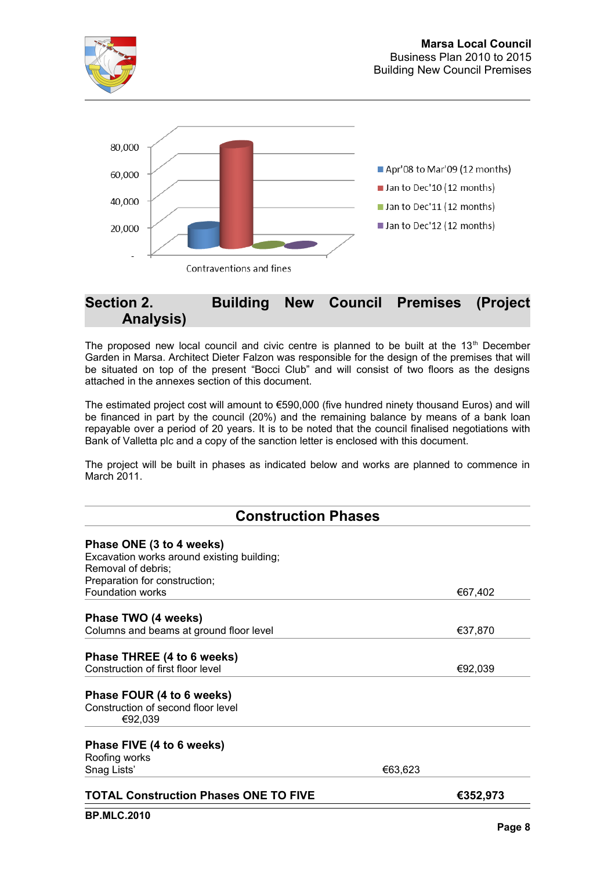

## **Section 2. Building New Council Premises (Project Analysis)**

The proposed new local council and civic centre is planned to be built at the  $13<sup>th</sup>$  December Garden in Marsa. Architect Dieter Falzon was responsible for the design of the premises that will be situated on top of the present "Bocci Club" and will consist of two floors as the designs attached in the annexes section of this document.

The estimated project cost will amount to €590,000 (five hundred ninety thousand Euros) and will be financed in part by the council (20%) and the remaining balance by means of a bank loan repayable over a period of 20 years. It is to be noted that the council finalised negotiations with Bank of Valletta plc and a copy of the sanction letter is enclosed with this document.

The project will be built in phases as indicated below and works are planned to commence in March 2011.

| <b>Construction Phases</b>                   |         |          |  |  |  |
|----------------------------------------------|---------|----------|--|--|--|
| Phase ONE (3 to 4 weeks)                     |         |          |  |  |  |
| Excavation works around existing building;   |         |          |  |  |  |
| Removal of debris;                           |         |          |  |  |  |
| Preparation for construction;                |         |          |  |  |  |
| Foundation works                             |         | €67,402  |  |  |  |
|                                              |         |          |  |  |  |
| Phase TWO (4 weeks)                          |         |          |  |  |  |
| Columns and beams at ground floor level      |         | €37,870  |  |  |  |
|                                              |         |          |  |  |  |
| Phase THREE (4 to 6 weeks)                   |         |          |  |  |  |
| Construction of first floor level            |         | €92,039  |  |  |  |
|                                              |         |          |  |  |  |
| Phase FOUR (4 to 6 weeks)                    |         |          |  |  |  |
| Construction of second floor level           |         |          |  |  |  |
| €92,039                                      |         |          |  |  |  |
| Phase FIVE (4 to 6 weeks)                    |         |          |  |  |  |
|                                              |         |          |  |  |  |
| Roofing works                                |         |          |  |  |  |
| Snag Lists'                                  | €63,623 |          |  |  |  |
| <b>TOTAL Construction Phases ONE TO FIVE</b> |         | €352,973 |  |  |  |
| <b>BP.MLC.2010</b>                           |         |          |  |  |  |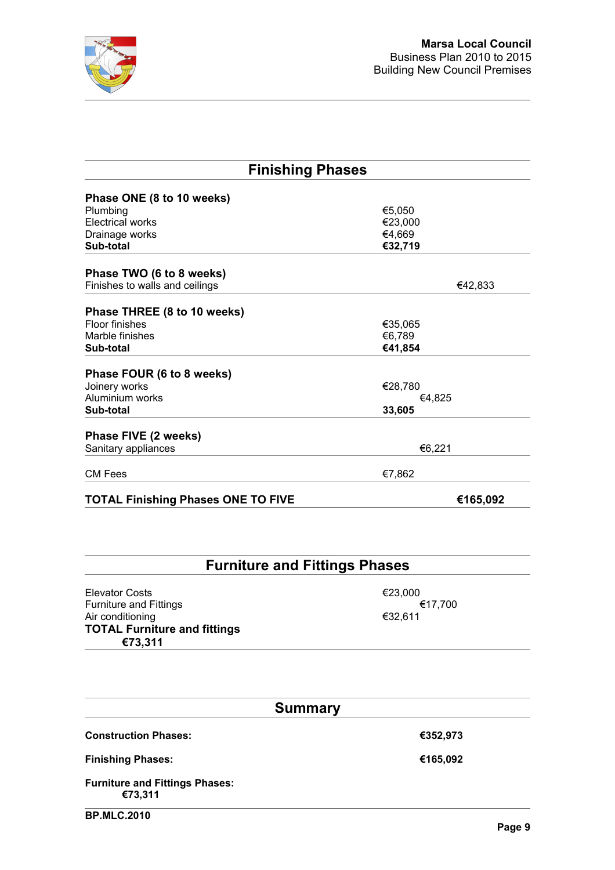

| <b>Finishing Phases</b>                               |         |  |  |  |  |
|-------------------------------------------------------|---------|--|--|--|--|
|                                                       |         |  |  |  |  |
| Phase ONE (8 to 10 weeks)                             |         |  |  |  |  |
| Plumbing                                              | €5,050  |  |  |  |  |
| <b>Electrical works</b>                               | €23,000 |  |  |  |  |
| Drainage works                                        | €4,669  |  |  |  |  |
| Sub-total                                             | €32,719 |  |  |  |  |
| Phase TWO (6 to 8 weeks)                              |         |  |  |  |  |
| Finishes to walls and ceilings                        | €42,833 |  |  |  |  |
| Phase THREE (8 to 10 weeks)                           |         |  |  |  |  |
| <b>Floor finishes</b>                                 | €35,065 |  |  |  |  |
| Marble finishes                                       | €6,789  |  |  |  |  |
|                                                       |         |  |  |  |  |
| Sub-total                                             | €41,854 |  |  |  |  |
| Phase FOUR (6 to 8 weeks)                             |         |  |  |  |  |
| Joinery works                                         | €28,780 |  |  |  |  |
| Aluminium works                                       | €4,825  |  |  |  |  |
| Sub-total                                             | 33,605  |  |  |  |  |
| Phase FIVE (2 weeks)                                  |         |  |  |  |  |
| Sanitary appliances                                   | €6,221  |  |  |  |  |
|                                                       |         |  |  |  |  |
| <b>CM Fees</b>                                        | €7,862  |  |  |  |  |
| <b>TOTAL Finishing Phases ONE TO FIVE</b><br>€165,092 |         |  |  |  |  |

# **Furniture and Fittings Phases**

Elevator Costs<br>
Furniture and Fittings<br>
∈23,000 €17,700 Furniture and Fittings<br>Air conditioning <del>€32,611</del> Air conditioning **TOTAL Furniture and fittings €73,311**

| <b>Summary</b>                                   |          |  |  |  |  |  |
|--------------------------------------------------|----------|--|--|--|--|--|
| <b>Construction Phases:</b>                      | €352,973 |  |  |  |  |  |
| <b>Finishing Phases:</b>                         | €165,092 |  |  |  |  |  |
| <b>Furniture and Fittings Phases:</b><br>€73,311 |          |  |  |  |  |  |
| <b>BP.MLC.2010</b>                               |          |  |  |  |  |  |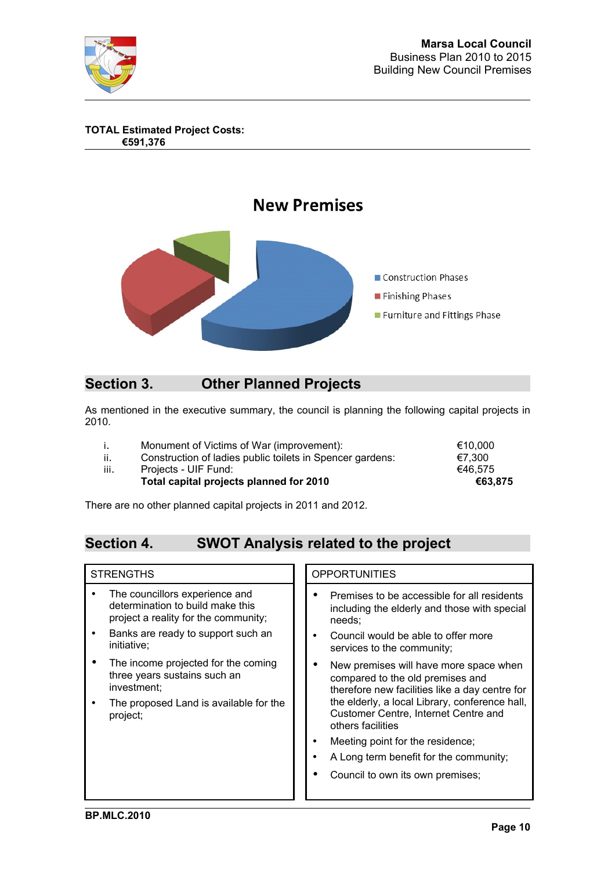

**TOTAL Estimated Project Costs: €591,376**



# **Section 3. Other Planned Projects**

As mentioned in the executive summary, the council is planning the following capital projects in 2010.

|      | Monument of Victims of War (improvement):                 | €10.000 |
|------|-----------------------------------------------------------|---------|
| ii.  | Construction of ladies public toilets in Spencer gardens: | €7.300  |
| iii. | Projects - UIF Fund:                                      | €46.575 |
|      | Total capital projects planned for 2010                   | €63.875 |

There are no other planned capital projects in 2011 and 2012.

# **Section 4. SWOT Analysis related to the project**

| <b>STRENGTHS</b>                                                                                                                                                                                                                                           | <b>OPPORTUNITIES</b>                                                                                                                                                                                                                                                                                       |
|------------------------------------------------------------------------------------------------------------------------------------------------------------------------------------------------------------------------------------------------------------|------------------------------------------------------------------------------------------------------------------------------------------------------------------------------------------------------------------------------------------------------------------------------------------------------------|
| The councillors experience and<br>determination to build make this<br>project a reality for the community;<br>Banks are ready to support such an<br>٠<br>initiative:<br>The income projected for the coming<br>three years sustains such an<br>investment; | Premises to be accessible for all residents<br>including the elderly and those with special<br>needs:<br>Council would be able to offer more<br>services to the community;<br>New premises will have more space when<br>compared to the old premises and<br>therefore new facilities like a day centre for |
| The proposed Land is available for the<br>project;                                                                                                                                                                                                         | the elderly, a local Library, conference hall,<br>Customer Centre, Internet Centre and<br>others facilities<br>Meeting point for the residence;<br>A Long term benefit for the community;<br>Council to own its own premises;                                                                              |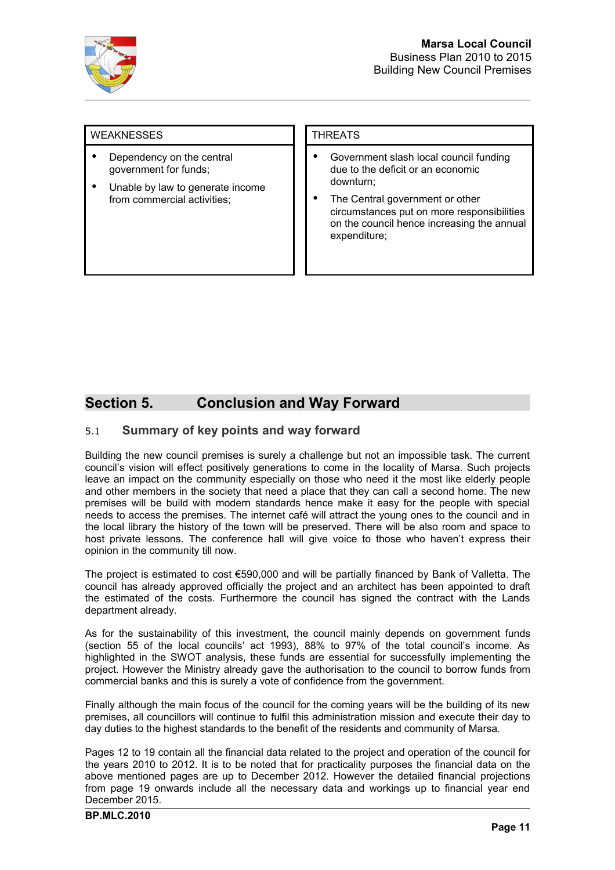

### WEAKNESSES ITHREATS

- Dependency on the central government for funds;
- Unable by law to generate income from commercial activities;

- Government slash local council funding due to the deficit or an economic downturn;
- The Central government or other circumstances put on more responsibilities on the council hence increasing the annual expenditure;

# **Section 5. Conclusion and Way Forward**

### 5.1 **Summary of key points and way forward**

Building the new council premises is surely a challenge but not an impossible task. The current council's vision will effect positively generations to come in the locality of Marsa. Such projects leave an impact on the community especially on those who need it the most like elderly people and other members in the society that need a place that they can call a second home. The new premises will be build with modern standards hence make it easy for the people with special needs to access the premises. The internet café will attract the young ones to the council and in the local library the history of the town will be preserved. There will be also room and space to host private lessons. The conference hall will give voice to those who haven't express their opinion in the community till now.

The project is estimated to cost €590,000 and will be partially financed by Bank of Valletta. The council has already approved officially the project and an architect has been appointed to draft the estimated of the costs. Furthermore the council has signed the contract with the Lands department already.

As for the sustainability of this investment, the council mainly depends on government funds (section 55 of the local councils' act 1993), 88% to 97% of the total council's income. As highlighted in the SWOT analysis, these funds are essential for successfully implementing the project. However the Ministry already gave the authorisation to the council to borrow funds from commercial banks and this is surely a vote of confidence from the government.

Finally although the main focus of the council for the coming years will be the building of its new premises, all councillors will continue to fulfil this administration mission and execute their day to day duties to the highest standards to the benefit of the residents and community of Marsa.

Pages 12 to 19 contain all the financial data related to the project and operation of the council for the years 2010 to 2012. It is to be noted that for practicality purposes the financial data on the above mentioned pages are up to December 2012. However the detailed financial projections from page 19 onwards include all the necessary data and workings up to financial year end December 2015.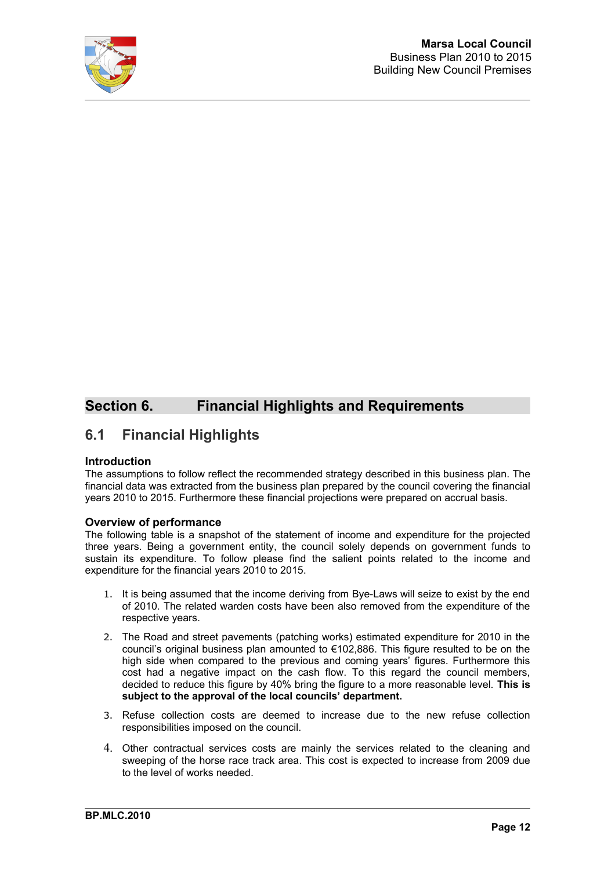

# **Section 6. Financial Highlights and Requirements**

# **6.1 Financial Highlights**

### **Introduction**

The assumptions to follow reflect the recommended strategy described in this business plan. The financial data was extracted from the business plan prepared by the council covering the financial years 2010 to 2015. Furthermore these financial projections were prepared on accrual basis.

### **Overview of performance**

The following table is a snapshot of the statement of income and expenditure for the projected three years. Being a government entity, the council solely depends on government funds to sustain its expenditure. To follow please find the salient points related to the income and expenditure for the financial years 2010 to 2015.

- 1. It is being assumed that the income deriving from Bye-Laws will seize to exist by the end of 2010. The related warden costs have been also removed from the expenditure of the respective years.
- 2. The Road and street pavements (patching works) estimated expenditure for 2010 in the council's original business plan amounted to  $€102,886$ . This figure resulted to be on the high side when compared to the previous and coming years' figures. Furthermore this cost had a negative impact on the cash flow. To this regard the council members, decided to reduce this figure by 40% bring the figure to a more reasonable level. **This is subject to the approval of the local councils' department.**
- 3. Refuse collection costs are deemed to increase due to the new refuse collection responsibilities imposed on the council.
- 4. Other contractual services costs are mainly the services related to the cleaning and sweeping of the horse race track area. This cost is expected to increase from 2009 due to the level of works needed.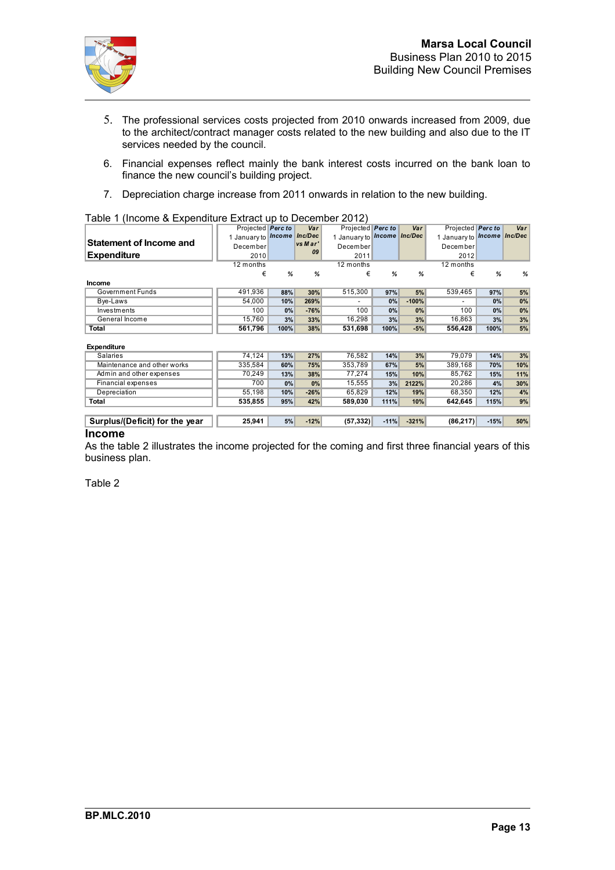

- 5. The professional services costs projected from 2010 onwards increased from 2009, due to the architect/contract manager costs related to the new building and also due to the IT services needed by the council.
- 6. Financial expenses reflect mainly the bank interest costs incurred on the bank loan to finance the new council's building project.
- 7. Depreciation charge increase from 2011 onwards in relation to the new building.

|                         | Projected Perc to                |      | Var     | Projected Perc to                  |      | Var     | Projected Perc to          |      | Var |
|-------------------------|----------------------------------|------|---------|------------------------------------|------|---------|----------------------------|------|-----|
|                         | January to <i>Income</i> Inc/Dec |      |         | 1 January to <i>Income Inc/Dec</i> |      |         | 1 January to ncome Inc/Dec |      |     |
| Statement of Income and | December                         |      | vs Mar' | December                           |      |         | December                   |      |     |
| <b>Expenditure</b>      | 2010                             |      | 09      | 2011                               |      |         | 2012                       |      |     |
|                         | 12 months                        |      |         | 12 months                          |      |         | 12 months                  |      |     |
|                         | €                                | %    | %       | €                                  | %    | %       | €                          | %    | %   |
| <b>Income</b>           |                                  |      |         |                                    |      |         |                            |      |     |
| Government Funds        | 491,936                          | 88%  | 30%     | 515,300                            | 97%  | 5%      | 539.465                    | 97%  | 5%  |
| Bye-Laws                | 54.000                           | 10%  | 269%    |                                    | 0%   | $-100%$ | $\overline{\phantom{0}}$   | 0%   | 0%  |
| Investments             | 100                              | 0%   | $-76%$  | 100                                | 0%   | 0%      | 100                        | 0%   | 0%  |
| General Income          | 15.760                           | 3%   | 33%     | 16.298                             | 3%   | 3%      | 16.863                     | 3%   | 3%  |
| Total                   | 561.796                          | 100% | 38%     | 531.698                            | 100% | $-5%$   | 556.428                    | 100% | 5%  |
|                         |                                  |      |         |                                    |      |         |                            |      |     |

### Table 1 (Income & Expenditure Extract up to December 2012)

### **Expenditure**

| Expenditure                    |         |     |        |           |        |         |           |        |     |
|--------------------------------|---------|-----|--------|-----------|--------|---------|-----------|--------|-----|
| <b>Salaries</b>                | 74.124  | 13% | 27%    | 76.582    | 14%    | 3%      | 79.079    | 14%    | 3%  |
| Maintenance and other works    | 335.584 | 60% | 75%    | 353.789   | 67%    | 5%      | 389.168   | 70%    | 10% |
| Admin and other expenses       | 70.249  | 13% | 38%    | 77.274    | 15%    | 10%     | 85.762    | 15%    | 11% |
| Financial expenses             | 700     | 0%  | $0\%$  | 15.555    | 3%     | 2122%   | 20.286    | 4%     | 30% |
| Depreciation                   | 55.198  | 10% | $-26%$ | 65.829    | 12%    | 19%     | 68.350    | 12%    | 4%  |
| Total                          | 535.855 | 95% | 42%    | 589.030   | 111%   | 10%     | 642.645   | 115%   | 9%  |
|                                |         |     |        |           |        |         |           |        |     |
| Surplus/(Deficit) for the year | 25.941  | 5%  | $-12%$ | (57, 332) | $-11%$ | $-321%$ | (86, 217) | $-15%$ | 50% |

### **Income**

As the table 2 illustrates the income projected for the coming and first three financial years of this business plan.

Table 2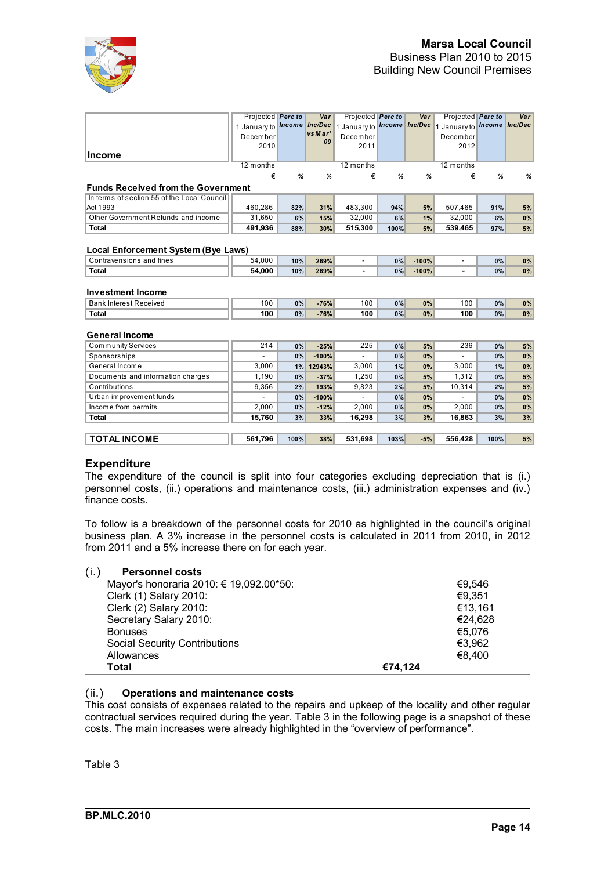

|                                             | Projected Perc to                  |      | Var           | Projected Perc to          |      | Var     | Projected Perc to          |      | Var   |
|---------------------------------------------|------------------------------------|------|---------------|----------------------------|------|---------|----------------------------|------|-------|
|                                             | 1 January to <b>Income</b> Inc/Dec |      |               | 1 January to ncome Inc/Dec |      |         | 1 January to ncome Inc/Dec |      |       |
|                                             | December                           |      | vs Mar'<br>09 | December                   |      |         | December                   |      |       |
|                                             | 2010                               |      |               | 2011                       |      |         | 2012                       |      |       |
| <b>Income</b>                               |                                    |      |               |                            |      |         |                            |      |       |
|                                             | 12 months                          |      |               | 12 months                  |      |         | 12 months                  |      |       |
|                                             | €                                  | %    | %             | €                          | %    | %       | €                          | %    | %     |
| <b>Funds Received from the Government</b>   |                                    |      |               |                            |      |         |                            |      |       |
| In terms of section 55 of the Local Council |                                    |      |               |                            |      |         |                            |      |       |
| Act 1993                                    | 460,286                            | 82%  | 31%           | 483,300                    | 94%  | 5%      | 507,465                    | 91%  | $5%$  |
| Other Government Refunds and income         | 31,650                             | 6%   | 15%           | 32,000                     | 6%   | 1%      | 32.000                     | 6%   | 0%    |
| <b>Total</b>                                | 491,936                            | 88%  | 30%           | 515,300                    | 100% | 5%      | 539,465                    | 97%  | 5%    |
|                                             |                                    |      |               |                            |      |         |                            |      |       |
| Local Enforcement System (Bye Laws)         |                                    |      |               |                            |      |         |                            |      |       |
| Contravensions and fines                    | 54,000                             | 10%  | 269%          | $\sim$                     | 0%   | $-100%$ |                            | 0%   | $0\%$ |
| <b>Total</b>                                | 54.000                             | 10%  | 269%          |                            | 0%   | $-100%$ |                            | 0%   | 0%    |
|                                             |                                    |      |               |                            |      |         |                            |      |       |
| <b>Investment Income</b>                    |                                    |      |               |                            |      |         |                            |      |       |
| <b>Bank Interest Received</b>               | 100                                | 0%   | $-76%$        | 100                        | 0%   | 0%      | 100                        | 0%   | $0\%$ |
| <b>Total</b>                                | 100                                | 0%   | $-76%$        | 100                        | 0%   | 0%      | 100                        | 0%   | 0%    |
|                                             |                                    |      |               |                            |      |         |                            |      |       |
| <b>General Income</b>                       |                                    |      |               |                            |      |         |                            |      |       |
| <b>Community Services</b>                   | 214                                | 0%   | $-25%$        | 225                        | 0%   | 5%      | 236                        | 0%   | $5%$  |
| Sponsorships                                |                                    | 0%   | $-100%$       |                            | 0%   | 0%      |                            | 0%   | 0%    |
| General Income                              | 3,000                              | 1%   | 12943%        | 3,000                      | 1%   | 0%      | 3,000                      | 1%   | 0%    |
| Documents and information charges           | 1,190                              | 0%   | $-37%$        | 1,250                      | 0%   | 5%      | 1,312                      | 0%   | 5%    |
| Contributions                               | 9,356                              | 2%   | 193%          | 9,823                      | 2%   | 5%      | 10,314                     | 2%   | 5%    |
| Urban improvement funds                     |                                    | 0%   | $-100%$       |                            | 0%   | 0%      |                            | 0%   | 0%    |
| Income from permits                         | 2,000                              | 0%   | $-12%$        | 2,000                      | 0%   | 0%      | 2,000                      | 0%   | 0%    |
| <b>Total</b>                                | 15,760                             | 3%   | 33%           | 16,298                     | 3%   | 3%      | 16,863                     | 3%   | 3%    |
|                                             |                                    |      |               |                            |      |         |                            |      |       |
| <b>TOTAL INCOME</b>                         | 561,796                            | 100% | 38%           | 531,698                    | 103% | $-5%$   | 556,428                    | 100% | 5%    |
|                                             |                                    |      |               |                            |      |         |                            |      |       |

### **Expenditure**

The expenditure of the council is split into four categories excluding depreciation that is (i.) personnel costs, (ii.) operations and maintenance costs, (iii.) administration expenses and (iv.) finance costs.

To follow is a breakdown of the personnel costs for 2010 as highlighted in the council's original business plan. A 3% increase in the personnel costs is calculated in 2011 from 2010, in 2012 from 2011 and a 5% increase there on for each year.

| (i.)<br><b>Personnel costs</b>          |         |
|-----------------------------------------|---------|
| Mayor's honoraria 2010: € 19,092.00*50: | €9.546  |
| Clerk (1) Salary 2010:                  | €9,351  |
| Clerk (2) Salary 2010:                  | €13,161 |
| Secretary Salary 2010:                  | €24,628 |
| <b>Bonuses</b>                          | €5,076  |
| <b>Social Security Contributions</b>    | €3,962  |
| Allowances                              | €8,400  |
| Total                                   | €74.124 |

### (ii.) **Operations and maintenance costs**

This cost consists of expenses related to the repairs and upkeep of the locality and other regular contractual services required during the year. Table 3 in the following page is a snapshot of these costs. The main increases were already highlighted in the "overview of performance".

Table 3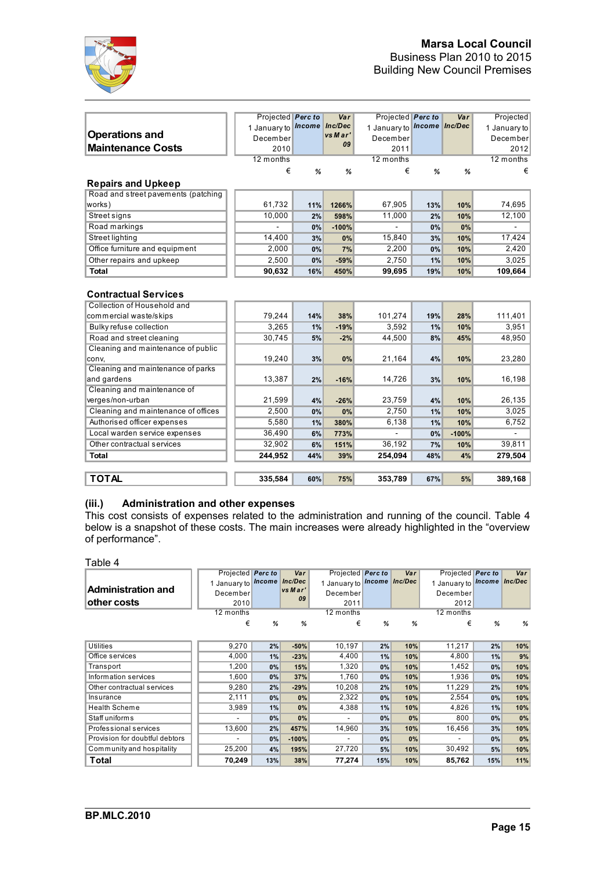

|                                                            | Projected Perc to                  |     | Var           | Projected Perc to         |     | Var     | Projected    |
|------------------------------------------------------------|------------------------------------|-----|---------------|---------------------------|-----|---------|--------------|
|                                                            | 1 January to <i>Income</i> Inc/Dec |     |               | 1 January to ncome nc/Dec |     |         | 1 January to |
| <b>Operations and</b>                                      | December                           |     | vs Mar'<br>09 | December                  |     |         | December     |
| <b>Maintenance Costs</b>                                   | 2010                               |     |               | 2011                      |     |         | 2012         |
|                                                            | 12 months                          |     |               | 12 months                 |     |         | 12 months    |
|                                                            | €                                  | %   | %             | €                         | %   | %       | €            |
| <b>Repairs and Upkeep</b>                                  |                                    |     |               |                           |     |         |              |
| Road and street pavements (patching                        |                                    |     |               |                           |     |         |              |
| works)                                                     | 61,732                             | 11% | 1266%         | 67,905                    | 13% | 10%     | 74,695       |
| Street signs                                               | 10,000                             | 2%  | 598%          | 11,000                    | 2%  | 10%     | 12,100       |
| Road markings                                              |                                    | 0%  | $-100%$       |                           | 0%  | 0%      |              |
| <b>Street lighting</b>                                     | 14,400                             | 3%  | 0%            | 15,840                    | 3%  | 10%     | 17,424       |
| Office furniture and equipment                             | 2,000                              | 0%  | 7%            | 2,200                     | 0%  | 10%     | 2,420        |
| Other repairs and upkeep                                   | 2,500                              | 0%  | $-59%$        | 2,750                     | 1%  | 10%     | 3,025        |
| <b>Total</b>                                               | 90,632                             | 16% | 450%          | 99,695                    | 19% | 10%     | 109,664      |
| <b>Contractual Services</b><br>Collection of Household and |                                    |     |               |                           |     |         |              |
|                                                            |                                    |     |               |                           |     |         |              |
| commercial waste/skips                                     | 79,244                             | 14% | 38%           | 101,274                   | 19% | 28%     | 111,401      |
| Bulky refuse collection                                    | 3,265                              | 1%  | $-19%$        | 3,592                     | 1%  | 10%     | 3,951        |
| Road and street cleaning                                   | 30,745                             | 5%  | $-2%$         | 44,500                    | 8%  | 45%     | 48,950       |
| Cleaning and maintenance of public<br>conv,                | 19,240                             | 3%  | 0%            | 21,164                    | 4%  | 10%     | 23,280       |
| Cleaning and maintenance of parks                          |                                    |     |               |                           |     |         |              |
| and gardens                                                | 13,387                             | 2%  | $-16%$        | 14,726                    | 3%  | 10%     | 16,198       |
| Cleaning and maintenance of                                |                                    |     |               |                           |     |         |              |
| verges/non-urban                                           | 21,599                             | 4%  | $-26%$        | 23,759                    | 4%  | 10%     | 26,135       |
| Cleaning and maintenance of offices                        | 2,500                              | 0%  | 0%            | 2,750                     | 1%  | 10%     | 3,025        |
| Authorised officer expenses                                | 5,580                              | 1%  | 380%          | 6,138                     | 1%  | 10%     | 6,752        |
| Local warden service expenses                              | 36,490                             | 6%  | 773%          |                           | 0%  | $-100%$ |              |
| Other contractual services                                 | 32,902                             | 6%  | 151%          | 36,192                    | 7%  | 10%     | 39,811       |
| <b>Total</b>                                               | 244,952                            | 44% | 39%           | 254,094                   | 48% | 4%      | 279,504      |
|                                                            |                                    |     |               |                           |     |         |              |

### **TOTAL 335,584 60% 75% 353,789 67% 5% 389,168**

### **(iii.) Administration and other expenses**

This cost consists of expenses related to the administration and running of the council. Table 4 below is a snapshot of these costs. The main increases were already highlighted in the "overview of performance".

Table 4

|                                | Projected Perc to |     | Var     | Projected <b>Perc to</b>   |       | Var | Projected Perc to         |     | Var   |
|--------------------------------|-------------------|-----|---------|----------------------------|-------|-----|---------------------------|-----|-------|
|                                | January to ncome  |     | Inc/Dec | 1 January to ncome Inc/Dec |       |     | 1 January to ncome nc/Dec |     |       |
| Administration and             | December          |     | vs Mar' | December                   |       |     | December                  |     |       |
| <b>lother costs</b>            | 2010              |     | 09      | 2011                       |       |     | 2012                      |     |       |
|                                | 12 months         |     |         | 12 months                  |       |     | 12 months                 |     |       |
|                                | €                 | %   | %       | €                          | %     | %   | €                         | %   | %     |
|                                |                   |     |         |                            |       |     |                           |     |       |
| <b>Utilities</b>               | 9,270             | 2%  | $-50%$  | 10,197                     | 2%    | 10% | 11,217                    | 2%  | 10%   |
| Office services                | 4,000             | 1%  | $-23%$  | 4,400                      | 1%    | 10% | 4,800                     | 1%  | 9%    |
| Transport                      | 1,200             | 0%  | 15%     | 1,320                      | 0%    | 10% | 1,452                     | 0%  | 10%   |
| Information services           | 1,600             | 0%  | 37%     | 1,760                      | 0%    | 10% | 1,936                     | 0%  | 10%   |
| Other contractual services     | 9,280             | 2%  | $-29%$  | 10,208                     | 2%    | 10% | 11,229                    | 2%  | 10%   |
| Insurance                      | 2,111             | 0%  | 0%      | 2,322                      | 0%    | 10% | 2,554                     | 0%  | 10%   |
| <b>Health Scheme</b>           | 3,989             | 1%  | 0%      | 4,388                      | 1%    | 10% | 4,826                     | 1%  | 10%   |
| Staff uniforms                 | ۰                 | 0%  | 0%      | ۰                          | $0\%$ | 0%  | 800                       | 0%  | 0%    |
| Professional services          | 13,600            | 2%  | 457%    | 14,960                     | 3%    | 10% | 16,456                    | 3%  | 10%   |
| Provision for doubtful debtors | ٠                 | 0%  | $-100%$ | $\overline{\phantom{a}}$   | $0\%$ | 0%  |                           | 0%  | $0\%$ |
| Community and hospitality      | 25,200            | 4%  | 195%    | 27,720                     | 5%    | 10% | 30,492                    | 5%  | 10%   |
| Total                          | 70,249            | 13% | 38%     | 77,274                     | 15%   | 10% | 85,762                    | 15% | 11%   |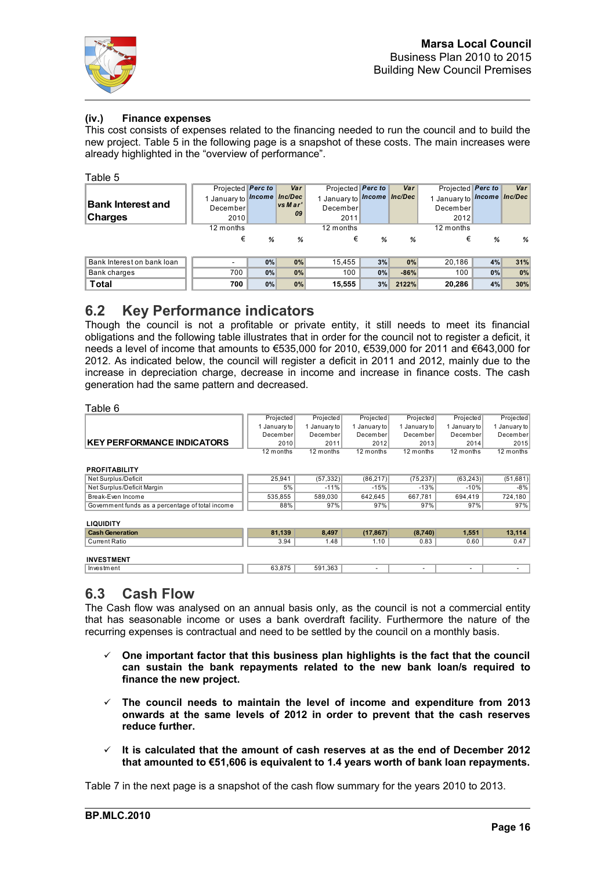

### **(iv.) Finance expenses**

This cost consists of expenses related to the financing needed to run the council and to build the new project. Table 5 in the following page is a snapshot of these costs. The main increases were already highlighted in the "overview of performance".

### Table 5

|                            | Projected Perc to          |    | Var     | Projected Perc to         |    | Var    | Projected Perc to         |    | Var |
|----------------------------|----------------------------|----|---------|---------------------------|----|--------|---------------------------|----|-----|
|                            | 1 January to ncome Inc/Dec |    |         | 1 January to ncome nc/Dec |    |        | 1 January to ncome nc/Dec |    |     |
| <b>Bank Interest and</b>   | December                   |    | vs Mar' | December                  |    |        | December                  |    |     |
| <b>Charges</b>             | 2010                       |    | 09      | 2011                      |    |        | 2012                      |    |     |
|                            | 12 months                  |    |         | 12 months                 |    |        | 12 months                 |    |     |
|                            | €                          | %  | %       | €                         | %  | %      | €                         | %  | %   |
|                            |                            |    |         |                           |    |        |                           |    |     |
| Bank Interest on bank loan |                            | 0% | 0%      | 15,455                    | 3% | 0%     | 20.186                    | 4% | 31% |
| Bank charges               | 700                        | 0% | 0%      | 100                       | 0% | $-86%$ | 100                       | 0% | 0%  |
| <b>Total</b>               | 700                        | 0% | 0%      | 15,555                    | 3% | 2122%  | 20,286                    | 4% | 30% |

## **6.2 Key Performance indicators**

Though the council is not a profitable or private entity, it still needs to meet its financial obligations and the following table illustrates that in order for the council not to register a deficit, it needs a level of income that amounts to €535,000 for 2010, €539,000 for 2011 and €643,000 for 2012. As indicated below, the council will register a deficit in 2011 and 2012, mainly due to the increase in depreciation charge, decrease in income and increase in finance costs. The cash generation had the same pattern and decreased.

### Table 6

| uviu v                            |              |              |              |                  |            |              |
|-----------------------------------|--------------|--------------|--------------|------------------|------------|--------------|
|                                   | Projected    | Projected    | Projected    | <b>Projected</b> | Projected  | Projected    |
|                                   | January to l | January to l | January to l | 1 Januarv to l   | January to | January to I |
|                                   | December     | December     | December     | December         | December   | December     |
| <b>KEY PERFORMANCE INDICATORS</b> | 2010         | 2011         | 2012         | 2013             | 2014       | 2015         |
|                                   | 12 months    | 12 months    | 12 months    | 12 months        | 12 months  | 12 months    |
|                                   |              |              |              |                  |            |              |
| <b>PROFITABILITY</b>              |              |              |              |                  |            |              |

**PROFITABILITY**

| Net Surplus/Deficit                              | 25.941  | (57.332) | (86.217) | (75.237) | (63.243) | (51.681) |
|--------------------------------------------------|---------|----------|----------|----------|----------|----------|
| Net Surplus/Deficit Margin                       | 5%      | 11%      | -15%     | $-13%$   | $-10%$   | $-8%$    |
| Break-Even Income                                | 535.855 | 589.030  | 642.645  | 667.781  | 694.419  | 724.180  |
| Government funds as a percentage of total income | 88%     | 97%      | 97%      | 97%      | 97%      | 97%      |

**LIQUIDITY**

| <b>Cash Generation</b> | 81.139 | 8.497   | (17.867) | (8,740)                  | 1,551                    | 13,114 |
|------------------------|--------|---------|----------|--------------------------|--------------------------|--------|
| <b>Current Ratio</b>   | 3.94   | . .48   | 1.10     | 0.83                     | 0.60                     | 0.47   |
| <b>INVESTMENT</b>      |        |         |          |                          |                          |        |
| Investment             | 63,875 | 591,363 | -        | $\overline{\phantom{a}}$ | $\overline{\phantom{a}}$ |        |

## **6.3 Cash Flow**

The Cash flow was analysed on an annual basis only, as the council is not a commercial entity that has seasonable income or uses a bank overdraft facility. Furthermore the nature of the recurring expenses is contractual and need to be settled by the council on a monthly basis.

- **One important factor that this business plan highlights is the fact that the council can sustain the bank repayments related to the new bank loan/s required to finance the new project.**
- **The council needs to maintain the level of income and expenditure from 2013 onwards at the same levels of 2012 in order to prevent that the cash reserves reduce further.**
- **It is calculated that the amount of cash reserves at as the end of December 2012 that amounted to €51,606 is equivalent to 1.4 years worth of bank loan repayments.**

Table 7 in the next page is a snapshot of the cash flow summary for the years 2010 to 2013.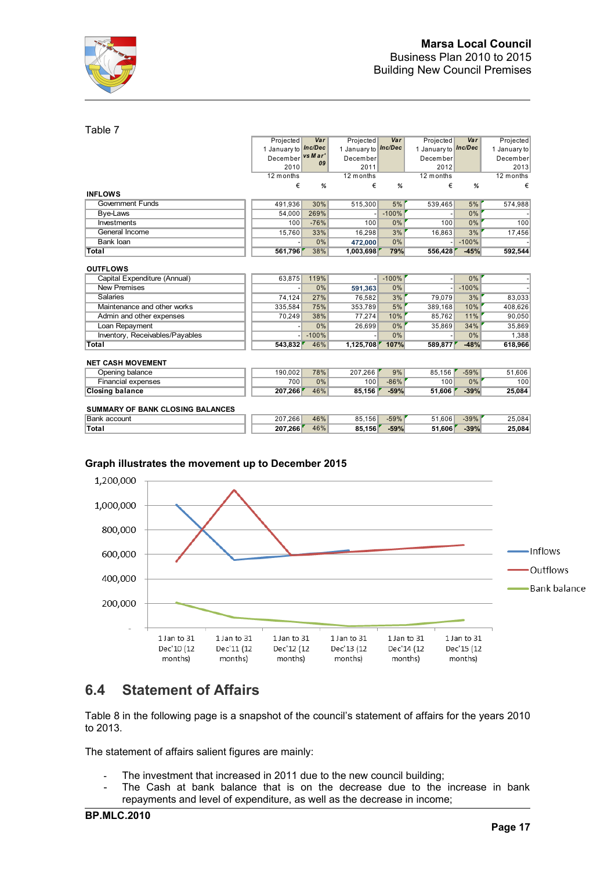

### Table 7

|                                         | Projected                   | Var     | Projected           | Var     | Projected           | Var     | Projected    |
|-----------------------------------------|-----------------------------|---------|---------------------|---------|---------------------|---------|--------------|
|                                         | 1 January to <b>Inc/Dec</b> |         | 1 January to nc/Dec |         | 1 January to nc/Dec |         | 1 January to |
|                                         | December                    | vs Mar' | December            |         | December            |         | December     |
|                                         | 2010                        | 09      | 2011                |         | 2012                |         | 2013         |
|                                         | 12 months                   |         | 12 months           |         | 12 months           |         | 12 months    |
|                                         | €                           | %       | €                   | %       | €                   | %       | €            |
| <b>INFLOWS</b>                          |                             |         |                     |         |                     |         |              |
| <b>Government Funds</b>                 | 491,936                     | 30%     | 515,300             | 5%      | 539,465             | 5%      | 574,988      |
| Bye-Laws                                | 54,000                      | 269%    |                     | $-100%$ |                     | 0%      |              |
| Investments                             | 100                         | $-76%$  | 100                 | 0%      | 100                 | 0%      | 100          |
| General Income                          | 15,760                      | 33%     | 16,298              | 3%      | 16,863              | 3%      | 17,456       |
| <b>Bank loan</b>                        |                             | 0%      | 472,000             | 0%      |                     | $-100%$ |              |
| Total                                   | 561,796                     | 38%     | 1,003,698           | 79%     | 556,428             | $-45%$  | 592,544      |
| <b>OUTFLOWS</b>                         |                             |         |                     |         |                     |         |              |
| Capital Expenditure (Annual)            | 63,875                      | 119%    |                     | $-100%$ |                     | 0%      |              |
| <b>New Premises</b>                     |                             | 0%      | 591,363             | 0%      |                     | $-100%$ |              |
| Salaries                                | 74,124                      | 27%     | 76.582              | 3%      | 79,079              | 3%      | 83,033       |
| Maintenance and other works             | 335,584                     | 75%     | 353,789             | 5%      | 389,168             | 10%     | 408,626      |
| Admin and other expenses                | 70,249                      | 38%     | 77,274              | 10%     | 85,762              | 11%     | 90,050       |
| Loan Repayment                          |                             | 0%      | 26,699              | 0%      | 35,869              | 34%     | 35,869       |
| Inventory, Receivables/Payables         |                             | $-100%$ |                     | 0%      |                     | 0%      | 1,388        |
| <b>Total</b>                            | 543,832                     | 46%     | 1,125,708           | 107%    | 589,877             | $-48%$  | 618,966      |
| <b>NET CASH MOVEMENT</b>                |                             |         |                     |         |                     |         |              |
| Opening balance                         | 190.002                     | 78%     | 207,266             | 9%      | 85,156              | $-59%$  | 51,606       |
| Financial expenses                      | 700                         | 0%      | 100                 | $-86%$  | 100                 | 0%      | 100          |
| <b>Closing balance</b>                  | 207,266                     | 46%     | 85,156              | $-59%$  | 51,606              | $-39%$  | 25,084       |
| <b>SUMMARY OF BANK CLOSING BALANCES</b> |                             |         |                     |         |                     |         |              |
| <b>Bank account</b>                     | 207,266                     | 46%     | 85,156              | $-59%$  | 51,606              | $-39%$  | 25,084       |
| Total                                   | 207.266                     | 46%     | 85.156              | $-59%$  | 51.606              | $-39%$  | 25,084       |

### **Graph illustrates the movement up to December 2015**



# **6.4 Statement of Affairs**

Table 8 in the following page is a snapshot of the council's statement of affairs for the years 2010 to 2013.

The statement of affairs salient figures are mainly:

- The investment that increased in 2011 due to the new council building;
- The Cash at bank balance that is on the decrease due to the increase in bank repayments and level of expenditure, as well as the decrease in income;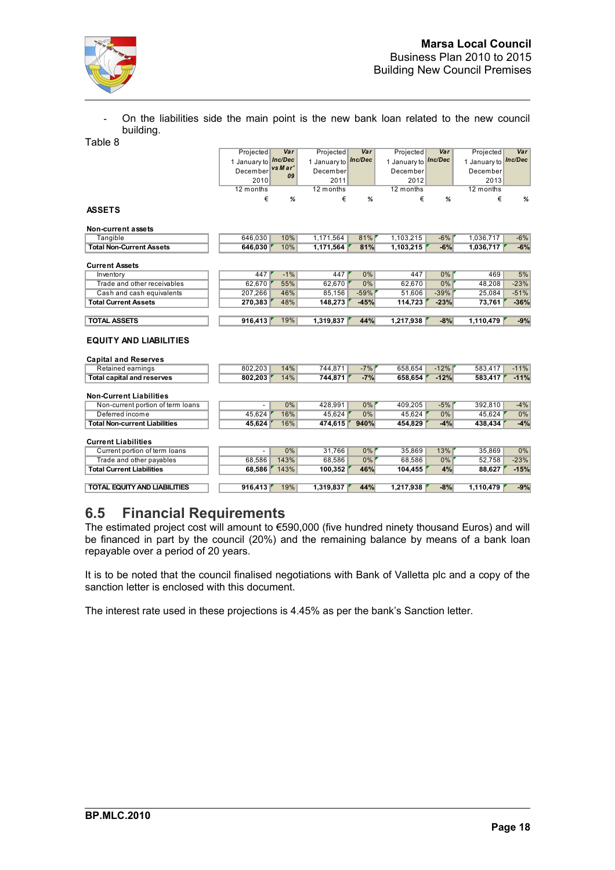

On the liabilities side the main point is the new bank loan related to the new council building. Table 8

|                                      | Projected    | Var           | Projected    | Var     | Projected           | Var    | Projected    | Var     |
|--------------------------------------|--------------|---------------|--------------|---------|---------------------|--------|--------------|---------|
|                                      | 1 January to | Inc/Dec       | 1 January to | Inc/Dec | 1 January to nc/Dec |        | 1 January to | Inc/Dec |
|                                      | December     | vs Mar'<br>09 | December     |         | December            |        | December     |         |
|                                      | 2010         |               | 2011         |         | 2012                |        | 2013         |         |
|                                      | 12 months    |               | 12 months    |         | 12 months           |        | 12 months    |         |
|                                      | €            | %             | €            | %       | €                   | %      | €            | %       |
| <b>ASSETS</b>                        |              |               |              |         |                     |        |              |         |
| Non-current assets                   |              |               |              |         |                     |        |              |         |
| Tangible                             | 646.030      | 10%           | 1,171,564    | 81%     | 1,103,215           | $-6%$  | 1,036,717    | $-6%$   |
| <b>Total Non-Current Assets</b>      | 646,030      | 10%           | 1,171,564    | 81%     | 1,103,215           | $-6%$  | 1,036,717    | $-6%$   |
|                                      |              |               |              |         |                     |        |              |         |
| <b>Current Assets</b>                |              |               |              |         |                     |        |              |         |
| Inventory                            | 447          | $-1%$         | 447          | 0%      | 447                 | 0%     | 469          | 5%      |
| Trade and other receivables          | 62,670       | 55%           | 62,670       | 0%      | 62,670              | 0%     | 48,208       | $-23%$  |
| Cash and cash equivalents            | 207,266      | 46%           | 85,156       | $-59%$  | 51,606              | $-39%$ | 25,084       | $-51%$  |
| <b>Total Current Assets</b>          | 270.383      | 48%           | 148,273      | $-45%$  | 114,723             | $-23%$ | 73,761       | $-36%$  |
| <b>TOTAL ASSETS</b>                  | 916,413      | 19%           | 1,319,837    | 44%     | 1,217,938           | $-8%$  | 1,110,479    | $-9%$   |
|                                      |              |               |              |         |                     |        |              |         |
| <b>EQUITY AND LIABILITIES</b>        |              |               |              |         |                     |        |              |         |
| <b>Capital and Reserves</b>          |              |               |              |         |                     |        |              |         |
| Retained earnings                    | 802,203      | 14%<br>14%    | 744,871      | $-7%$   | 658,654             | $-12%$ | 583,417      | $-11%$  |
| <b>Total capital and reserves</b>    | 802,203      |               | 744,871      | $-7%$   | 658,654             | $-12%$ | 583,417      | $-11%$  |
| <b>Non-Current Liabilities</b>       |              |               |              |         |                     |        |              |         |
| Non-current portion of term loans    |              | 0%            | 428,991      | 0%      | 409,205             | $-5%$  | 392,810      | $-4%$   |
| Deferred income                      | 45,624       | 16%           | 45,624       | 0%      | 45,624              | 0%     | 45,624       | 0%      |
| <b>Total Non-current Liabilities</b> | 45,624       | 16%           | 474,615      | 940%    | 454,829             | $-4%$  | 438,434      | $-4%$   |
| <b>Current Liabilities</b>           |              |               |              |         |                     |        |              |         |
| Current portion of term loans        |              | 0%            | 31,766       | 0%      | 35,869              | 13%    | 35,869       | 0%      |
| Trade and other payables             | 68,586       | 143%          | 68,586       | $0\%$   | 68,586              | 0%     | 52,758       | $-23%$  |
| <b>Total Current Liabilities</b>     | 68,586       | 143%          | 100,352      | 46%     | 104,455             | 4%     | 88,627       | $-15%$  |
| <b>TOTAL EQUITY AND LIABILITIES</b>  | 916,413      | 19%           | 1,319,837    | 44%     | 1,217,938           | $-8%$  | 1,110,479    | $-9%$   |

# **6.5 Financial Requirements**

The estimated project cost will amount to €590,000 (five hundred ninety thousand Euros) and will be financed in part by the council (20%) and the remaining balance by means of a bank loan repayable over a period of 20 years.

It is to be noted that the council finalised negotiations with Bank of Valletta plc and a copy of the sanction letter is enclosed with this document.

The interest rate used in these projections is 4.45% as per the bank's Sanction letter.